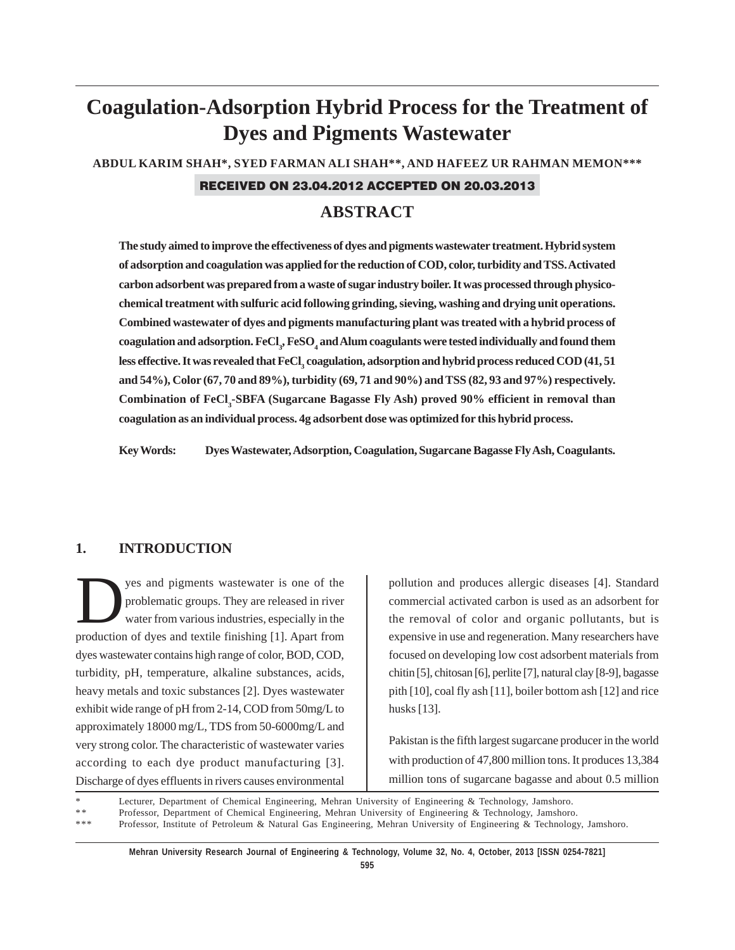# **Coagulation-Adsorption Hybrid Process for the Treatment of Dyes and Pigments Wastewater**

**ABDUL KARIM SHAH\*, SYED FARMAN ALI SHAH\*\*, AND HAFEEZ UR RAHMAN MEMON\*\*\***

#### RECEIVED ON 23.04.2012 ACCEPTED ON 20.03.2013

# **ABSTRACT**

**The study aimed to improve the effectiveness of dyes and pigments wastewater treatment. Hybrid system of adsorption and coagulation was applied for the reduction of COD, color, turbidity and TSS. Activated carbon adsorbent was prepared from a waste of sugar industry boiler. It was processed through physicochemical treatment with sulfuric acid following grinding, sieving, washing and drying unit operations. Combined wastewater of dyes and pigments manufacturing plant was treated with a hybrid process of**  $\rm coagulation$  and adsorption.  $\rm FeCl_{3}, \rm FeSO_{4}$  and Alum  $\rm coagulants$  were tested individually and found them less effective. It was revealed that FeCl<sub>3</sub> coagulation, adsorption and hybrid process reduced COD (41, 51 **and 54%), Color (67, 70 and 89%), turbidity (69, 71 and 90%) and TSS (82, 93 and 97%) respectively.** Combination of FeCl<sub>3</sub>-SBFA (Sugarcane Bagasse Fly Ash) proved 90% efficient in removal than **coagulation as an individual process. 4g adsorbent dose was optimized for this hybrid process.**

**Key Words: Dyes Wastewater, Adsorption, Coagulation, Sugarcane Bagasse Fly Ash, Coagulants.**

#### **1. INTRODUCTION**

yes and pigments wastewater is one of the<br>problematic groups. They are released in river<br>water from various industries, especially in the<br>magh of the read to the Griddine Hall Anglet from problematic groups. They are released in river water from various industries, especially in the production of dyes and textile finishing [1]. Apart from dyes wastewater contains high range of color, BOD, COD, turbidity, pH, temperature, alkaline substances, acids, heavy metals and toxic substances [2]. Dyes wastewater exhibit wide range of pH from 2-14, COD from 50mg/L to approximately 18000 mg/L, TDS from 50-6000mg/L and very strong color. The characteristic of wastewater varies according to each dye product manufacturing [3]. Discharge of dyes effluents in rivers causes environmental

pollution and produces allergic diseases [4]. Standard commercial activated carbon is used as an adsorbent for the removal of color and organic pollutants, but is expensive in use and regeneration. Many researchers have focused on developing low cost adsorbent materials from chitin [5], chitosan [6], perlite [7], natural clay [8-9], bagasse pith [10], coal fly ash [11], boiler bottom ash [12] and rice husks [13].

Pakistan is the fifth largest sugarcane producer in the world with production of 47,800 million tons. It produces 13,384 million tons of sugarcane bagasse and about 0.5 million

\* Lecturer, Department of Chemical Engineering, Mehran University of Engineering & Technology, Jamshoro.<br>\*\* Professor Department of Chemical Engineering, Mehran University of Engineering & Technology, Jamshoro.

Professor, Department of Chemical Engineering, Mehran University of Engineering & Technology, Jamshoro.

\*\*\* Professor, Institute of Petroleum & Natural Gas Engineering, Mehran University of Engineering & Technology, Jamshoro.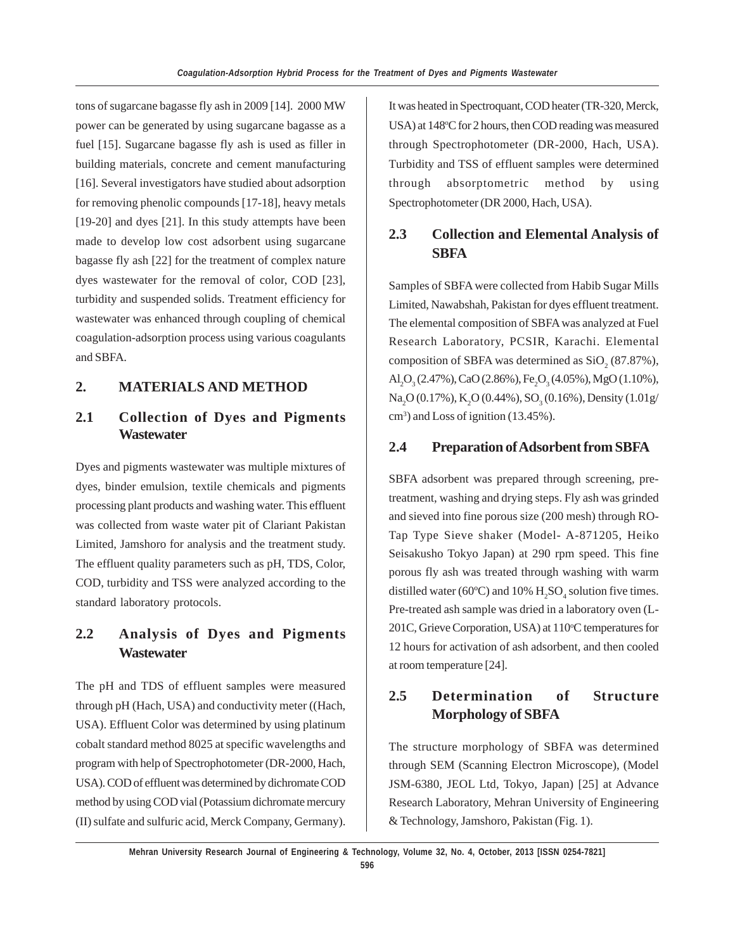tons of sugarcane bagasse fly ash in 2009 [14]. 2000 MW power can be generated by using sugarcane bagasse as a fuel [15]. Sugarcane bagasse fly ash is used as filler in building materials, concrete and cement manufacturing [16]. Several investigators have studied about adsorption for removing phenolic compounds [17-18], heavy metals [19-20] and dyes [21]. In this study attempts have been made to develop low cost adsorbent using sugarcane bagasse fly ash [22] for the treatment of complex nature dyes wastewater for the removal of color, COD [23], turbidity and suspended solids. Treatment efficiency for wastewater was enhanced through coupling of chemical coagulation-adsorption process using various coagulants and SBFA.

#### **2. MATERIALS AND METHOD**

## **2.1 Collection of Dyes and Pigments Wastewater**

Dyes and pigments wastewater was multiple mixtures of dyes, binder emulsion, textile chemicals and pigments processing plant products and washing water. This effluent was collected from waste water pit of Clariant Pakistan Limited, Jamshoro for analysis and the treatment study. The effluent quality parameters such as pH, TDS, Color, COD, turbidity and TSS were analyzed according to the standard laboratory protocols.

# **2.2 Analysis of Dyes and Pigments Wastewater**

The pH and TDS of effluent samples were measured through pH (Hach, USA) and conductivity meter ((Hach, USA). Effluent Color was determined by using platinum cobalt standard method 8025 at specific wavelengths and program with help of Spectrophotometer (DR-2000, Hach, USA). COD of effluent was determined by dichromate COD method by using COD vial (Potassium dichromate mercury (II) sulfate and sulfuric acid, Merck Company, Germany).

It was heated in Spectroquant, COD heater (TR-320, Merck, USA) at 148°C for 2 hours, then COD reading was measured through Spectrophotometer (DR-2000, Hach, USA). Turbidity and TSS of effluent samples were determined through absorptometric method by using Spectrophotometer (DR 2000, Hach, USA).

### **2.3 Collection and Elemental Analysis of SBFA**

Samples of SBFA were collected from Habib Sugar Mills Limited, Nawabshah, Pakistan for dyes effluent treatment. The elemental composition of SBFA was analyzed at Fuel Research Laboratory, PCSIR, Karachi. Elemental composition of SBFA was determined as  $SiO_2(87.87%)$ ,  $\text{Al}_2\text{O}_3(2.47\%)$ , CaO (2.86%), Fe<sub>2</sub>O<sub>3</sub> (4.05%), MgO (1.10%),  $\text{Na}_2\text{O}(0.17\%)$ ,  $\text{K}_2\text{O}(0.44\%)$ ,  $\text{SO}_3(0.16\%)$ , Density  $(1.01\text{g}/)$ cm<sup>3</sup>) and Loss of ignition (13.45%).

#### **2.4 Preparation of Adsorbent from SBFA**

SBFA adsorbent was prepared through screening, pretreatment, washing and drying steps. Fly ash was grinded and sieved into fine porous size (200 mesh) through RO-Tap Type Sieve shaker (Model- A-871205, Heiko Seisakusho Tokyo Japan) at 290 rpm speed. This fine porous fly ash was treated through washing with warm distilled water (60°C) and 10%  $H_2SO_4$  solution five times. Pre-treated ash sample was dried in a laboratory oven (L-201C, Grieve Corporation, USA) at 110°C temperatures for 12 hours for activation of ash adsorbent, and then cooled at room temperature [24].

### **2.5 Determination of Structure Morphology of SBFA**

The structure morphology of SBFA was determined through SEM (Scanning Electron Microscope), (Model JSM-6380, JEOL Ltd, Tokyo, Japan) [25] at Advance Research Laboratory, Mehran University of Engineering & Technology, Jamshoro, Pakistan (Fig. 1).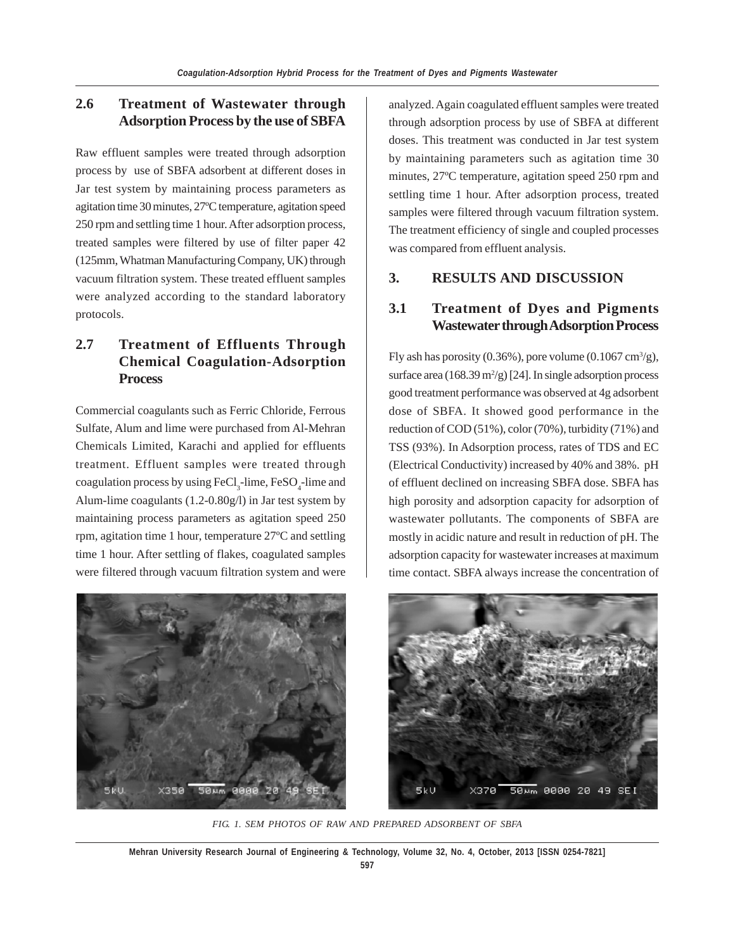### **2.6 Treatment of Wastewater through Adsorption Process by the use of SBFA**

Raw effluent samples were treated through adsorption process by use of SBFA adsorbent at different doses in Jar test system by maintaining process parameters as agitation time 30 minutes, 27ºC temperature, agitation speed 250 rpm and settling time 1 hour. After adsorption process, treated samples were filtered by use of filter paper 42 (125mm, Whatman Manufacturing Company, UK) through vacuum filtration system. These treated effluent samples were analyzed according to the standard laboratory protocols.

# **2.7 Treatment of Effluents Through Chemical Coagulation-Adsorption Process**

Commercial coagulants such as Ferric Chloride, Ferrous Sulfate, Alum and lime were purchased from Al-Mehran Chemicals Limited, Karachi and applied for effluents treatment. Effluent samples were treated through coagulation process by using  $\text{FeCl}_3$ -lime,  $\text{FeSO}_4$ -lime and Alum-lime coagulants (1.2-0.80g/l) in Jar test system by maintaining process parameters as agitation speed 250 rpm, agitation time 1 hour, temperature 27ºC and settling time 1 hour. After settling of flakes, coagulated samples were filtered through vacuum filtration system and were analyzed. Again coagulated effluent samples were treated through adsorption process by use of SBFA at different doses. This treatment was conducted in Jar test system by maintaining parameters such as agitation time 30 minutes, 27ºC temperature, agitation speed 250 rpm and settling time 1 hour. After adsorption process, treated samples were filtered through vacuum filtration system. The treatment efficiency of single and coupled processes was compared from effluent analysis.

#### **3. RESULTS AND DISCUSSION**

### **3.1 Treatment of Dyes and Pigments Wastewater through Adsorption Process**

Fly ash has porosity (0.36%), pore volume (0.1067 cm<sup>3</sup>/g), surface area  $(168.39 \text{ m}^2/\text{g})$  [24]. In single adsorption process good treatment performance was observed at 4g adsorbent dose of SBFA. It showed good performance in the reduction of COD (51%), color (70%), turbidity (71%) and TSS (93%). In Adsorption process, rates of TDS and EC (Electrical Conductivity) increased by 40% and 38%. pH of effluent declined on increasing SBFA dose. SBFA has high porosity and adsorption capacity for adsorption of wastewater pollutants. The components of SBFA are mostly in acidic nature and result in reduction of pH. The adsorption capacity for wastewater increases at maximum time contact. SBFA always increase the concentration of





*FIG. 1. SEM PHOTOS OF RAW AND PREPARED ADSORBENT OF SBFA*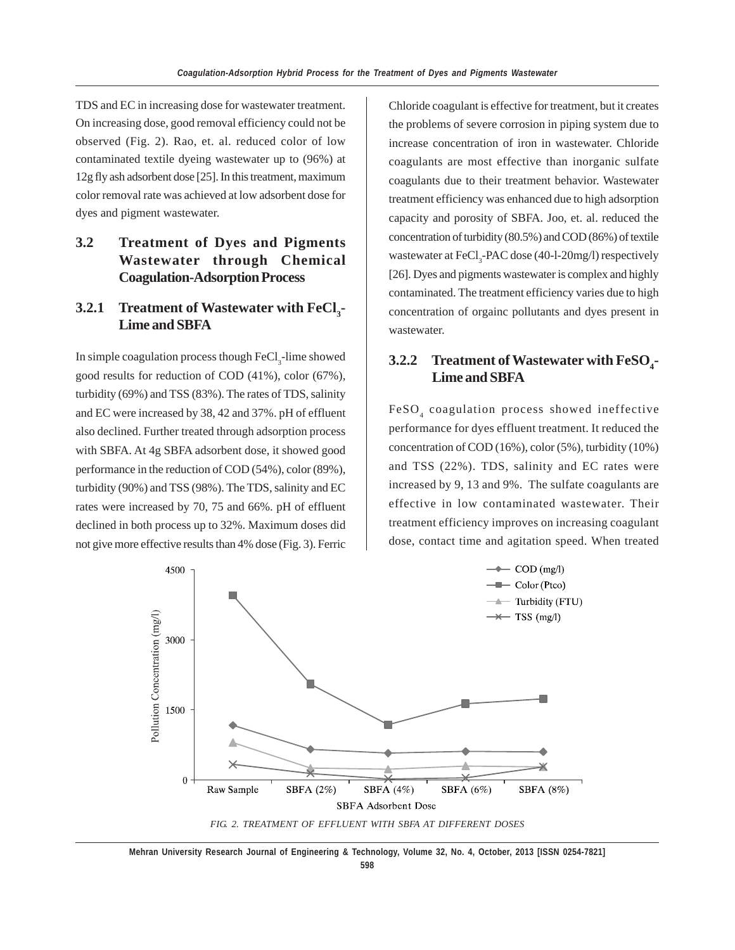TDS and EC in increasing dose for wastewater treatment. On increasing dose, good removal efficiency could not be observed (Fig. 2). Rao, et. al. reduced color of low contaminated textile dyeing wastewater up to (96%) at 12g fly ash adsorbent dose [25]. In this treatment, maximum color removal rate was achieved at low adsorbent dose for dyes and pigment wastewater.

## **3.2 Treatment of Dyes and Pigments Wastewater through Chemical Coagulation-Adsorption Process**

### **3.2.1** Treatment of Wastewater with  $\text{FeCl}_3$ -**Lime and SBFA**

In simple coagulation process though  $\text{FeCl}_3$ -lime showed good results for reduction of COD (41%), color (67%), turbidity (69%) and TSS (83%). The rates of TDS, salinity and EC were increased by 38, 42 and 37%. pH of effluent also declined. Further treated through adsorption process with SBFA. At 4g SBFA adsorbent dose, it showed good performance in the reduction of COD (54%), color (89%), turbidity (90%) and TSS (98%). The TDS, salinity and EC rates were increased by 70, 75 and 66%. pH of effluent declined in both process up to 32%. Maximum doses did not give more effective results than 4% dose (Fig. 3). Ferric Chloride coagulant is effective for treatment, but it creates the problems of severe corrosion in piping system due to increase concentration of iron in wastewater. Chloride coagulants are most effective than inorganic sulfate coagulants due to their treatment behavior. Wastewater treatment efficiency was enhanced due to high adsorption capacity and porosity of SBFA. Joo, et. al. reduced the concentration of turbidity (80.5%) and COD (86%) of textile wastewater at FeCl<sub>3</sub>-PAC dose (40-1-20mg/l) respectively [26]. Dyes and pigments wastewater is complex and highly contaminated. The treatment efficiency varies due to high concentration of orgainc pollutants and dyes present in wastewater.

### **3.2.2** Treatment of Wastewater with  $\text{FeSO}_4$ -**Lime and SBFA**

 $FeSO<sub>4</sub>$  coagulation process showed ineffective performance for dyes effluent treatment. It reduced the concentration of COD (16%), color (5%), turbidity (10%) and TSS (22%). TDS, salinity and EC rates were increased by 9, 13 and 9%. The sulfate coagulants are effective in low contaminated wastewater. Their treatment efficiency improves on increasing coagulant dose, contact time and agitation speed. When treated



**Mehran University Research Journal of Engineering & Technology, Volume 32, No. 4, October, 2013 [ISSN 0254-7821]**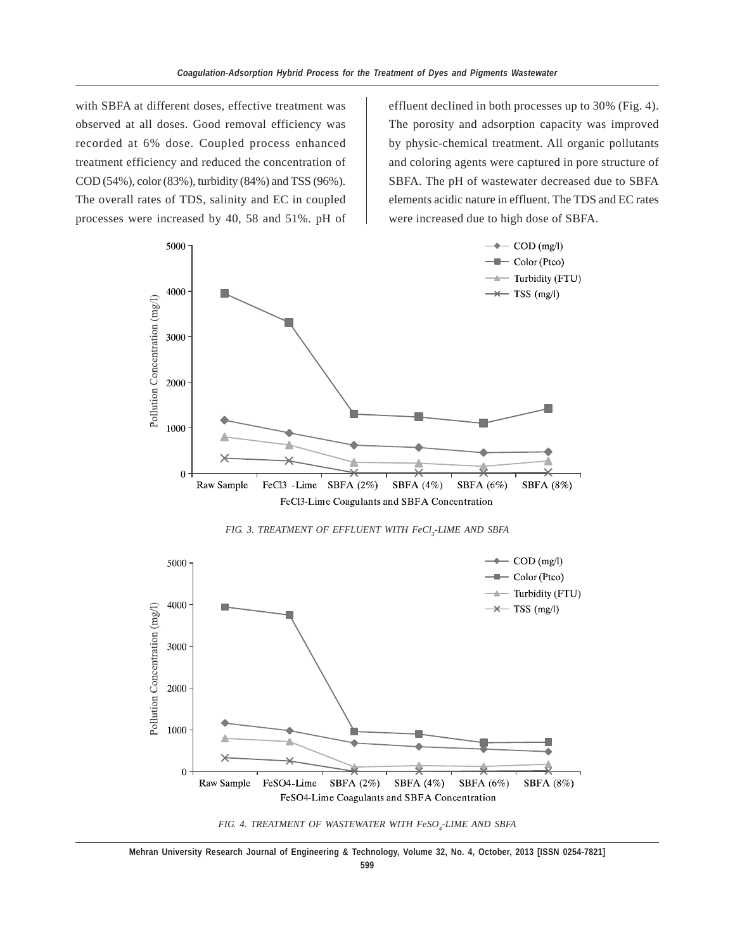with SBFA at different doses, effective treatment was observed at all doses. Good removal efficiency was recorded at 6% dose. Coupled process enhanced treatment efficiency and reduced the concentration of COD (54%), color (83%), turbidity (84%) and TSS (96%). The overall rates of TDS, salinity and EC in coupled processes were increased by 40, 58 and 51%. pH of effluent declined in both processes up to 30% (Fig. 4). The porosity and adsorption capacity was improved by physic-chemical treatment. All organic pollutants and coloring agents were captured in pore structure of SBFA. The pH of wastewater decreased due to SBFA elements acidic nature in effluent. The TDS and EC rates were increased due to high dose of SBFA.



*FIG. 3. TREATMENT OF EFFLUENT WITH FeCl3 -LIME AND SBFA*



*FIG. 4. TREATMENT OF WASTEWATER WITH FeSO4 -LIME AND SBFA*

**Mehran University Research Journal of Engineering & Technology, Volume 32, No. 4, October, 2013 [ISSN 0254-7821] 599**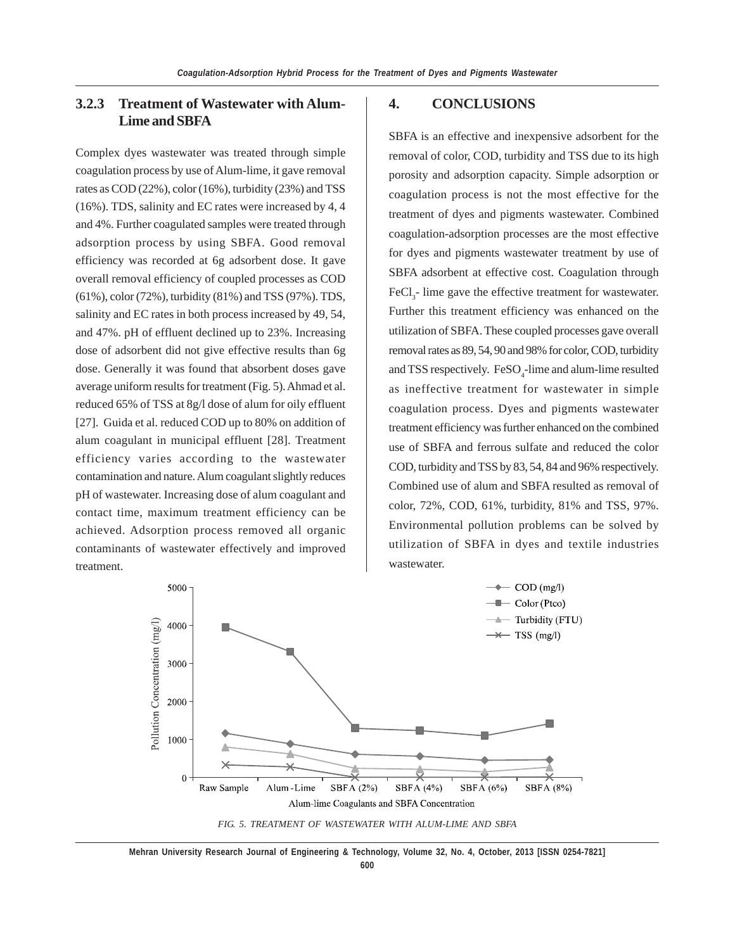#### **3.2.3 Treatment of Wastewater with Alum-Lime and SBFA**

Complex dyes wastewater was treated through simple coagulation process by use of Alum-lime, it gave removal rates as COD (22%), color (16%), turbidity (23%) and TSS (16%). TDS, salinity and EC rates were increased by 4, 4 and 4%. Further coagulated samples were treated through adsorption process by using SBFA. Good removal efficiency was recorded at 6g adsorbent dose. It gave overall removal efficiency of coupled processes as COD (61%), color (72%), turbidity (81%) and TSS (97%). TDS, salinity and EC rates in both process increased by 49, 54, and 47%. pH of effluent declined up to 23%. Increasing dose of adsorbent did not give effective results than 6g dose. Generally it was found that absorbent doses gave average uniform results for treatment (Fig. 5). Ahmad et al. reduced 65% of TSS at 8g/l dose of alum for oily effluent [27]. Guida et al. reduced COD up to 80% on addition of alum coagulant in municipal effluent [28]. Treatment efficiency varies according to the wastewater contamination and nature. Alum coagulant slightly reduces pH of wastewater. Increasing dose of alum coagulant and contact time, maximum treatment efficiency can be achieved. Adsorption process removed all organic contaminants of wastewater effectively and improved treatment.

#### **4. CONCLUSIONS**

SBFA is an effective and inexpensive adsorbent for the removal of color, COD, turbidity and TSS due to its high porosity and adsorption capacity. Simple adsorption or coagulation process is not the most effective for the treatment of dyes and pigments wastewater. Combined coagulation-adsorption processes are the most effective for dyes and pigments wastewater treatment by use of SBFA adsorbent at effective cost. Coagulation through  $FeCl<sub>3</sub>$ - lime gave the effective treatment for wastewater. Further this treatment efficiency was enhanced on the utilization of SBFA. These coupled processes gave overall removal rates as 89, 54, 90 and 98% for color, COD, turbidity and TSS respectively.  $FeSO<sub>4</sub>$ -lime and alum-lime resulted as ineffective treatment for wastewater in simple coagulation process. Dyes and pigments wastewater treatment efficiency was further enhanced on the combined use of SBFA and ferrous sulfate and reduced the color COD, turbidity and TSS by 83, 54, 84 and 96% respectively. Combined use of alum and SBFA resulted as removal of color, 72%, COD, 61%, turbidity, 81% and TSS, 97%. Environmental pollution problems can be solved by utilization of SBFA in dyes and textile industries wastewater.



*FIG. 5. TREATMENT OF WASTEWATER WITH ALUM-LIME AND SBFA*

**Mehran University Research Journal of Engineering & Technology, Volume 32, No. 4, October, 2013 [ISSN 0254-7821]**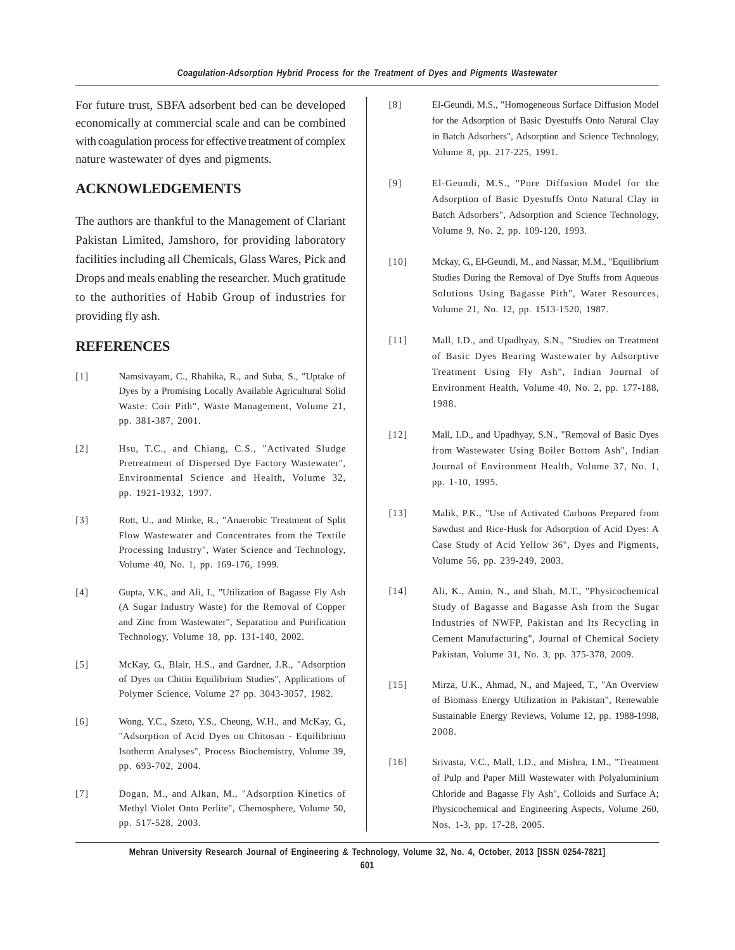For future trust, SBFA adsorbent bed can be developed economically at commercial scale and can be combined with coagulation process for effective treatment of complex nature wastewater of dyes and pigments.

### **ACKNOWLEDGEMENTS**

The authors are thankful to the Management of Clariant Pakistan Limited, Jamshoro, for providing laboratory facilities including all Chemicals, Glass Wares, Pick and Drops and meals enabling the researcher. Much gratitude to the authorities of Habib Group of industries for providing fly ash.

#### **REFERENCES**

- [1] Namsivayam, C., Rhahika, R., and Suba, S., "Uptake of Dyes by a Promising Locally Available Agricultural Solid Waste: Coir Pith", Waste Management, Volume 21, pp. 381-387, 2001.
- [2] Hsu, T.C., and Chiang, C.S., "Activated Sludge Pretreatment of Dispersed Dye Factory Wastewater", Environmental Science and Health, Volume 32, pp. 1921-1932, 1997.
- [3] Rott, U., and Minke, R., "Anaerobic Treatment of Split Flow Wastewater and Concentrates from the Textile Processing Industry", Water Science and Technology, Volume 40, No. 1, pp. 169-176, 1999.
- [4] Gupta, V.K., and Ali, I., "Utilization of Bagasse Fly Ash (A Sugar Industry Waste) for the Removal of Copper and Zinc from Wastewater", Separation and Purification Technology, Volume 18, pp. 131-140, 2002.
- [5] McKay, G., Blair, H.S., and Gardner, J.R., "Adsorption of Dyes on Chitin Equilibrium Studies", Applications of Polymer Science, Volume 27 pp. 3043-3057, 1982.
- [6] Wong, Y.C., Szeto, Y.S., Cheung, W.H., and McKay, G., "Adsorption of Acid Dyes on Chitosan - Equilibrium Isotherm Analyses", Process Biochemistry, Volume 39, pp. 693-702, 2004.
- [7] Dogan, M., and Alkan, M., "Adsorption Kinetics of Methyl Violet Onto Perlite", Chemosphere, Volume 50, pp. 517-528, 2003.
- [8] El-Geundi, M.S., "Homogeneous Surface Diffusion Model for the Adsorption of Basic Dyestuffs Onto Natural Clay in Batch Adsorbers", Adsorption and Science Technology, Volume 8, pp. 217-225, 1991.
- [9] El-Geundi, M.S., "Pore Diffusion Model for the Adsorption of Basic Dyestuffs Onto Natural Clay in Batch Adsorbers", Adsorption and Science Technology, Volume 9, No. 2, pp. 109-120, 1993.
- [10] Mckay, G., El-Geundi, M., and Nassar, M.M., "Equilibrium Studies During the Removal of Dye Stuffs from Aqueous Solutions Using Bagasse Pith", Water Resources, Volume 21, No. 12, pp. 1513-1520, 1987.
- [11] Mall, I.D., and Upadhyay, S.N., "Studies on Treatment of Basic Dyes Bearing Wastewater by Adsorptive Treatment Using Fly Ash", Indian Journal of Environment Health, Volume 40, No. 2, pp. 177-188, 1988.
- [12] Mall, I.D., and Upadhyay, S.N., "Removal of Basic Dyes from Wastewater Using Boiler Bottom Ash", Indian Journal of Environment Health, Volume 37, No. 1, pp. 1-10, 1995.
- [13] Malik, P.K., "Use of Activated Carbons Prepared from Sawdust and Rice-Husk for Adsorption of Acid Dyes: A Case Study of Acid Yellow 36", Dyes and Pigments, Volume 56, pp. 239-249, 2003.
- [14] Ali, K., Amin, N., and Shah, M.T., "Physicochemical Study of Bagasse and Bagasse Ash from the Sugar Industries of NWFP, Pakistan and Its Recycling in Cement Manufacturing", Journal of Chemical Society Pakistan, Volume 31, No. 3, pp. 375-378, 2009.
- [15] Mirza, U.K., Ahmad, N., and Majeed, T., "An Overview of Biomass Energy Utilization in Pakistan", Renewable Sustainable Energy Reviews, Volume 12, pp. 1988-1998, 2008.
- [16] Srivasta, V.C., Mall, I.D., and Mishra, I.M., "Treatment of Pulp and Paper Mill Wastewater with Polyaluminium Chloride and Bagasse Fly Ash", Colloids and Surface A; Physicochemical and Engineering Aspects, Volume 260, Nos. 1-3, pp. 17-28, 2005.

**Mehran University Research Journal of Engineering & Technology, Volume 32, No. 4, October, 2013 [ISSN 0254-7821]**